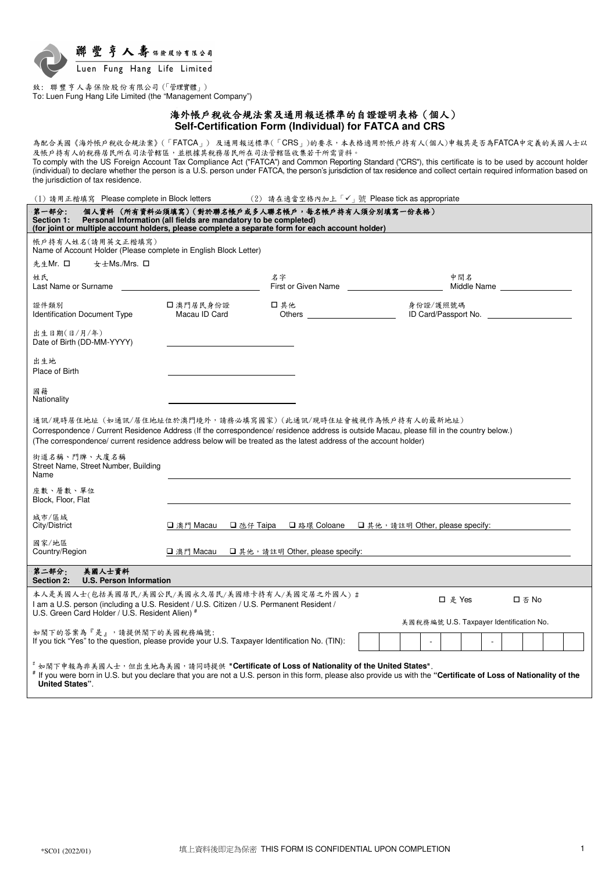

致: 聯豐亨人壽保險股份有限公司(「管理實體」) To: Luen Fung Hang Life Limited (the "Management Company")

> 海外帳戶稅收合規法案及通用報送標準的自證證明表格(個人) **Self-Certification Form (Individual) for FATCA and CRS**

為配合美國《海外帳戶稅收合規法案》(「FATCA」) 及通用報送標準(「CRS」)的要求,本表格適用於帳戶持有人(個人)申報其是否為FATCA中定義的美國人士以 及帳戶持有人的稅務居民所在司法管轄區,並根據其稅務居民所在司法管轄區收集若干所需資料。

To comply with the US Foreign Account Tax Compliance Act ("FATCA") and Common Reporting Standard ("CRS"), this certificate is to be used by account holder (individual) to declare whether the person is a U.S. person under FATCA, the person's jurisdiction of tax residence and collect certain required information based on the jurisdiction of tax residence.

(1) 請用正楷填寫 Please complete in Block letters (2) 請在適當空格內加上「✔」號 Please tick as appropriate

| 第一部分:<br>Section 1:<br>(for joint or multiple account holders, please complete a separate form for each account holder)                                                                                                                                                                                                      | 個人資料 (所有資料必須填寫)(對於聯名帳戶或多人聯名帳戶,每名帳戶持有人須分別填寫一份表格)<br>Personal Information (all fields are mandatory to be completed) |                                                                                                                        |                                         |                               |        |  |
|------------------------------------------------------------------------------------------------------------------------------------------------------------------------------------------------------------------------------------------------------------------------------------------------------------------------------|--------------------------------------------------------------------------------------------------------------------|------------------------------------------------------------------------------------------------------------------------|-----------------------------------------|-------------------------------|--------|--|
| 帳戶持有人姓名(請用英文正楷填寫)<br>Name of Account Holder (Please complete in English Block Letter)                                                                                                                                                                                                                                        |                                                                                                                    |                                                                                                                        |                                         |                               |        |  |
| 女士Ms./Mrs. □<br>先生Mr. 口                                                                                                                                                                                                                                                                                                      |                                                                                                                    |                                                                                                                        |                                         |                               |        |  |
| 姓氏<br>Last Name or Surname                                                                                                                                                                                                                                                                                                   |                                                                                                                    | 名字<br>First or Given Name                                                                                              |                                         | 中間名<br>Middle Name __________ |        |  |
| 證件類別<br><b>Identification Document Type</b>                                                                                                                                                                                                                                                                                  | □ 澳門居民身份證<br>Macau ID Card                                                                                         | □ 其他<br>Others and the contract of the contract of the contract of the contract of the contract of the contract of the | 身份證/護照號碼                                | ID Card/Passport No.          |        |  |
| 出生日期(日/月/年)<br>Date of Birth (DD-MM-YYYY)                                                                                                                                                                                                                                                                                    |                                                                                                                    |                                                                                                                        |                                         |                               |        |  |
| 出生地<br>Place of Birth                                                                                                                                                                                                                                                                                                        |                                                                                                                    |                                                                                                                        |                                         |                               |        |  |
| 國籍<br>Nationality                                                                                                                                                                                                                                                                                                            |                                                                                                                    |                                                                                                                        |                                         |                               |        |  |
| 通訊/現時居住地址(如通訊/居住地址位於澳門境外,請務必填寫國家)(此通訊/現時住址會被視作為帳戶持有人的最新地址)<br>Correspondence / Current Residence Address (If the correspondence/ residence address is outside Macau, please fill in the country below.)<br>(The correspondence/ current residence address below will be treated as the latest address of the account holder) |                                                                                                                    |                                                                                                                        |                                         |                               |        |  |
| 街道名稱、門牌、大廈名稱<br>Street Name, Street Number, Building<br>Name                                                                                                                                                                                                                                                                 |                                                                                                                    |                                                                                                                        |                                         |                               |        |  |
| 座數、層數、單位<br>Block, Floor, Flat                                                                                                                                                                                                                                                                                               |                                                                                                                    |                                                                                                                        |                                         |                               |        |  |
| 城市/區域<br>City/District                                                                                                                                                                                                                                                                                                       |                                                                                                                    | □澳門 Macau □氹仔 Taipa □路環 Coloane □其他, 請註明 Other, please specify:                                                        |                                         |                               |        |  |
| 國家/地區<br>Country/Region                                                                                                                                                                                                                                                                                                      |                                                                                                                    | □ 澳門 Macau □ 其他,請註明 Other, please specify:                                                                             |                                         |                               |        |  |
| 第二部分:<br>美國人士資料<br>Section 2:<br><b>U.S. Person Information</b>                                                                                                                                                                                                                                                              |                                                                                                                    |                                                                                                                        |                                         |                               |        |  |
| 本人是美國人士(包括美國居民/美國公民/美國永久居民/美國綠卡持有人/美國定居之外國人) #<br>I am a U.S. person (including a U.S. Resident / U.S. Citizen / U.S. Permanent Resident /<br>U.S. Green Card Holder / U.S. Resident Alien) #                                                                                                                                |                                                                                                                    |                                                                                                                        |                                         | □ 是 Yes                       | 口 否 No |  |
| 如閣下的答案為『是』,請提供閣下的美國稅務編號:<br>If you tick "Yes" to the question, please provide your U.S. Taxpayer Identification No. (TIN):                                                                                                                                                                                                   |                                                                                                                    |                                                                                                                        | 美國稅務編號 U.S. Taxpayer Identification No. |                               |        |  |
| 如閣下申報為非美國人士,但出生地為美國,請同時提供 "Certificate of Loss of Nationality of the United States".<br># If you were born in U.S. but you declare that you are not a U.S. person in this form, please also provide us with the "Certificate of Loss of Nationality of the<br><b>United States".</b>                                         |                                                                                                                    |                                                                                                                        |                                         |                               |        |  |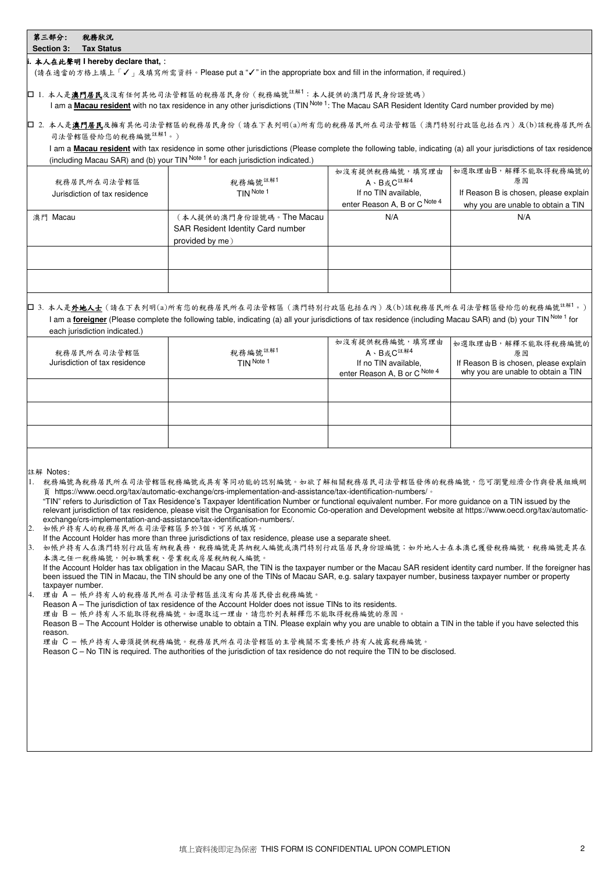# 第三部分: 稅務狀況

#### **Section 3: Tax Status i.** 本人在此聲明 **I hereby declare that,**:

(請在適當的方格上填上「✓」及填寫所需資料。Please put a "✓" in the appropriate box and fill in the information, if required.)

|□ 1. 本人是<mark>澳門居民</mark>及沒有任何其他司法管轄區的稅務居民身份(稅務編號<sup>註解1</sup>:本人提供的澳門居民身份證號碼) I am a **Macau resident** with no tax residence in any other jurisdictions (TIN Note 1: The Macau SAR Resident Identity Card number provided by me)

## 2. 本人是澳門居民及擁有其他司法管轄區的稅務居民身份(請在下表列明(a)所有您的稅務居民所在司法管轄區(澳門特別行政區包括在內)及(b)該稅務居民所在 司法管轄區發給您的稅務編號註解1。)

I am a **Macau resident** with tax residence in some other jurisdictions (Please complete the following table, indicating (a) all your jurisdictions of tax residence (including Macau SAR) and (b) your  $TIN^{Note 1}$  for each jurisdiction indicated.)

| 稅務居民所在司法管轄區<br>Jurisdiction of tax residence | 稅務編號 <sup>註解1</sup><br>TIN Note 1 | 如沒有提供稅務編號,填寫理由<br>A、B或C <sup>註解4</sup><br>If no TIN available, | 如選取理由B,解釋不能取得稅務編號的<br>原因<br>If Reason B is chosen, please explain |
|----------------------------------------------|-----------------------------------|----------------------------------------------------------------|-------------------------------------------------------------------|
|                                              |                                   | enter Reason A, B or C Note 4                                  | why you are unable to obtain a TIN                                |
| 澳門 Macau                                     | (本人提供的澳門身份證號碼。The Macau           | N/A                                                            | N/A                                                               |
|                                              | SAR Resident Identity Card number |                                                                |                                                                   |
|                                              | provided by me)                   |                                                                |                                                                   |
|                                              |                                   |                                                                |                                                                   |
|                                              |                                   |                                                                |                                                                   |
|                                              |                                   |                                                                |                                                                   |
|                                              |                                   |                                                                |                                                                   |

## □ 3. 本人是<u>外地人士</u> (請在下表列明(a)所有您的稅務居民所在司法管轄區(澳門特別行政區包括在內)及(b)該稅務居民所在司法管轄區發給您的稅務編號<sup>註解1</sup>。) I am a **foreigner** (Please complete the following table, indicating (a) all your jurisdictions of tax residence (including Macau SAR) and (b) your TIN Note 1 for each jurisdiction indicated.)

| 稅務居民所在司法管轄區<br>Jurisdiction of tax residence | 稅務編號 <sup>註解1</sup><br>TIN Note 1 | 如沒有提供稅務編號,填寫理由<br>A、B或C <sup>註解4</sup><br>If no TIN available,<br>enter Reason A, B or C Note 4 | 如選取理由B,解釋不能取得稅務編號的<br>原因<br>If Reason B is chosen, please explain<br>why you are unable to obtain a TIN |
|----------------------------------------------|-----------------------------------|-------------------------------------------------------------------------------------------------|---------------------------------------------------------------------------------------------------------|
|                                              |                                   |                                                                                                 |                                                                                                         |
|                                              |                                   |                                                                                                 |                                                                                                         |
|                                              |                                   |                                                                                                 |                                                                                                         |
|                                              |                                   |                                                                                                 |                                                                                                         |

註解 Notes:

- 1. 稅務編號為稅務居民所在司法管轄區稅務編號或具有等同功能的認別編號。如欲了解相關稅務居民司法管轄區發佈的稅務編號,您可瀏覽經濟合作與發展組織網 頁 https://www.oecd.org/tax/automatic-exchange/crs-implementation-and-assistance/tax-identification-numbers/。
- "TIN" refers to Jurisdiction of Tax Residence's Taxpayer Identification Number or functional equivalent number. For more guidance on a TIN issued by the relevant jurisdiction of tax residence, please visit the Organisation for Economic Co-operation and Development website at https://www.oecd.org/tax/automaticexchange/crs-implementation-and-assistance/tax-identification-numbers/.
- 2. 如帳戶持有人的稅務居民所在司法管轄區多於3個,可另紙填寫
- If the Account Holder has more than three jurisdictions of tax residence, please use a separate sheet.

3. 如帳戶持有人在澳門特別行政區有納稅義務,稅務編號是其納稅人編號或澳門特別行政區居民身份證編號;如外地人士在本澳已獲發稅務編號,稅務編號是其在 本澳之任一稅務編號,例如職業稅、營業稅或房屋稅納稅人編號。

If the Account Holder has tax obligation in the Macau SAR, the TIN is the taxpayer number or the Macau SAR resident identity card number. If the foreigner has been issued the TIN in Macau, the TIN should be any one of the TINs of Macau SAR, e.g. salary taxpayer number, business taxpayer number or property taxpayer number.

4. 理由 A – 帳戶持有人的稅務居民所在司法管轄區並沒有向其居民發出稅務編號。

Reason A – The jurisdiction of tax residence of the Account Holder does not issue TINs to its residents.

理由 B - 帳戶持有人不能取得稅務編號。如選取這一理由,請您於列表解釋您不能取得稅務編號的原因。

Reason B – The Account Holder is otherwise unable to obtain a TIN. Please explain why you are unable to obtain a TIN in the table if you have selected this reason.

理由 C – 帳戶持有人毋須提供稅務編號。稅務居民所在司法管轄區的主管機關不需要帳戶持有人披露稅務編號。

Reason C – No TIN is required. The authorities of the jurisdiction of tax residence do not require the TIN to be disclosed.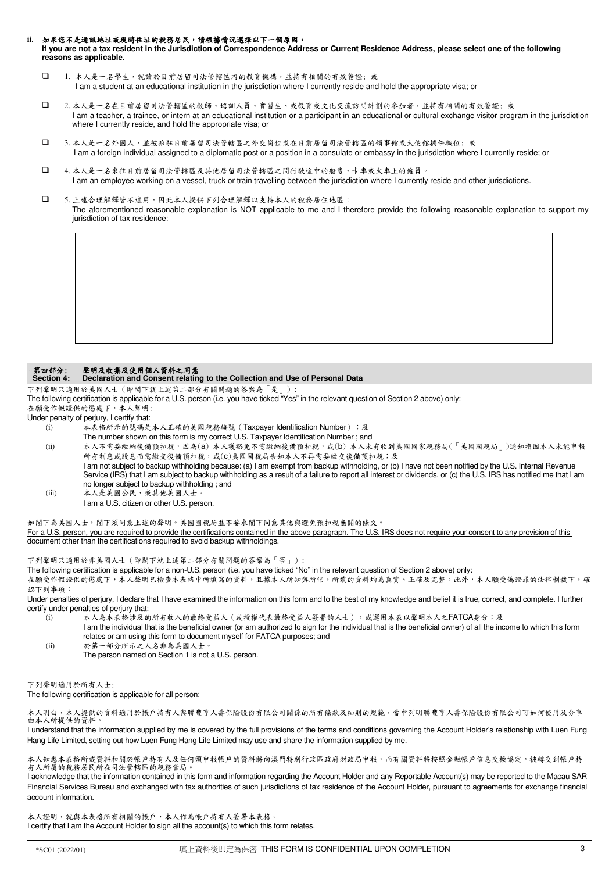|                                                                                                                                                                                                                                                                                                                                                    |                                                                                                                                                                                                                                | 如果您不是通訊地址或現時住址的稅務居民,請根據情況選擇以下一個原因。<br>If you are not a tax resident in the Jurisdiction of Correspondence Address or Current Residence Address, please select one of the following<br>reasons as applicable.                                                                                                               |  |  |  |  |  |
|----------------------------------------------------------------------------------------------------------------------------------------------------------------------------------------------------------------------------------------------------------------------------------------------------------------------------------------------------|--------------------------------------------------------------------------------------------------------------------------------------------------------------------------------------------------------------------------------|----------------------------------------------------------------------------------------------------------------------------------------------------------------------------------------------------------------------------------------------------------------------------------------------------------------------------|--|--|--|--|--|
|                                                                                                                                                                                                                                                                                                                                                    | □                                                                                                                                                                                                                              | 1. 本人是一名學生,就讀於目前居留司法管轄區內的教育機構,並持有相關的有效簽證;或<br>I am a student at an educational institution in the jurisdiction where I currently reside and hold the appropriate visa; or                                                                                                                                                  |  |  |  |  |  |
|                                                                                                                                                                                                                                                                                                                                                    | □                                                                                                                                                                                                                              | 2. 本人是一名在目前居留司法管轄區的教師、培訓人員、實習生、或教育或文化交流訪問計劃的參加者,並持有相關的有效簽證;或<br>I am a teacher, a trainee, or intern at an educational institution or a participant in an educational or cultural exchange visitor program in the jurisdiction<br>where I currently reside, and hold the appropriate visa; or                              |  |  |  |  |  |
|                                                                                                                                                                                                                                                                                                                                                    | ❏                                                                                                                                                                                                                              | 3. 本人是一名外國人,並被派駐目前居留司法管轄區之外交崗位或在目前居留司法管轄區的領事館或大使館擔任職位; 或<br>I am a foreign individual assigned to a diplomatic post or a position in a consulate or embassy in the jurisdiction where I currently reside; or                                                                                                               |  |  |  |  |  |
|                                                                                                                                                                                                                                                                                                                                                    | □                                                                                                                                                                                                                              | 4.本人是一名來往目前居留司法管轄區及其他居留司法管轄區之間行駛途中的船隻、卡車或火車上的僱員。<br>I am an employee working on a vessel, truck or train travelling between the jurisdiction where I currently reside and other jurisdictions.                                                                                                                             |  |  |  |  |  |
|                                                                                                                                                                                                                                                                                                                                                    | □<br>5. 上述合理解釋皆不適用,因此本人提供下列合理解釋以支持本人的稅務居住地區:<br>The aforementioned reasonable explanation is NOT applicable to me and I therefore provide the following reasonable explanation to support my<br>jurisdiction of tax residence: |                                                                                                                                                                                                                                                                                                                            |  |  |  |  |  |
|                                                                                                                                                                                                                                                                                                                                                    |                                                                                                                                                                                                                                |                                                                                                                                                                                                                                                                                                                            |  |  |  |  |  |
|                                                                                                                                                                                                                                                                                                                                                    | 第四部分:                                                                                                                                                                                                                          | 聲明及收集及使用個人資料之同意                                                                                                                                                                                                                                                                                                            |  |  |  |  |  |
|                                                                                                                                                                                                                                                                                                                                                    | <b>Section 4:</b>                                                                                                                                                                                                              | Declaration and Consent relating to the Collection and Use of Personal Data                                                                                                                                                                                                                                                |  |  |  |  |  |
|                                                                                                                                                                                                                                                                                                                                                    |                                                                                                                                                                                                                                | 下列聲明只適用於美國人士 (即閣下就上述第二部分有關問題的答案為「是」):<br>The following certification is applicable for a U.S. person (i.e. you have ticked "Yes" in the relevant question of Section 2 above) only:                                                                                                                                        |  |  |  |  |  |
|                                                                                                                                                                                                                                                                                                                                                    |                                                                                                                                                                                                                                | 在願受作假證供的懲處下,本人聲明:                                                                                                                                                                                                                                                                                                          |  |  |  |  |  |
|                                                                                                                                                                                                                                                                                                                                                    |                                                                                                                                                                                                                                | Under penalty of perjury, I certify that:                                                                                                                                                                                                                                                                                  |  |  |  |  |  |
|                                                                                                                                                                                                                                                                                                                                                    | (i)                                                                                                                                                                                                                            | 本表格所示的號碼是本人正確的美國稅務編號 (Taxpayer Identification Number); 及                                                                                                                                                                                                                                                                   |  |  |  |  |  |
|                                                                                                                                                                                                                                                                                                                                                    |                                                                                                                                                                                                                                | The number shown on this form is my correct U.S. Taxpayer Identification Number; and                                                                                                                                                                                                                                       |  |  |  |  |  |
|                                                                                                                                                                                                                                                                                                                                                    | (ii)                                                                                                                                                                                                                           | 本人不需要缴納後備預扣稅,因為(a) 本人獲豁免不需繳納後備預扣稅,或(b) 本人未有收到美國國家稅務局(「美國國稅局」)通知指因本人未能申報                                                                                                                                                                                                                                                    |  |  |  |  |  |
|                                                                                                                                                                                                                                                                                                                                                    |                                                                                                                                                                                                                                | 所有利息或股息而需繳交後備預扣稅,或(C)美國國稅局告知本人不再需要繳交後備預扣稅;及                                                                                                                                                                                                                                                                                |  |  |  |  |  |
|                                                                                                                                                                                                                                                                                                                                                    |                                                                                                                                                                                                                                | I am not subject to backup withholding because: (a) I am exempt from backup withholding, or (b) I have not been notified by the U.S. Internal Revenue<br>Service (IRS) that I am subject to backup withholding as a result of a failure to report all interest or dividends, or (c) the U.S. IRS has notified me that I am |  |  |  |  |  |
|                                                                                                                                                                                                                                                                                                                                                    |                                                                                                                                                                                                                                | no longer subject to backup withholding; and                                                                                                                                                                                                                                                                               |  |  |  |  |  |
|                                                                                                                                                                                                                                                                                                                                                    | (iii)                                                                                                                                                                                                                          | 本人是美國公民,或其他美國人士。                                                                                                                                                                                                                                                                                                           |  |  |  |  |  |
|                                                                                                                                                                                                                                                                                                                                                    |                                                                                                                                                                                                                                | I am a U.S. citizen or other U.S. person.                                                                                                                                                                                                                                                                                  |  |  |  |  |  |
|                                                                                                                                                                                                                                                                                                                                                    |                                                                                                                                                                                                                                |                                                                                                                                                                                                                                                                                                                            |  |  |  |  |  |
|                                                                                                                                                                                                                                                                                                                                                    |                                                                                                                                                                                                                                | 如閣下為美國人士,閣下須同意上述的聲明。美國國稅局並不要求閣下同意其他與避免預扣稅無關的條文。                                                                                                                                                                                                                                                                            |  |  |  |  |  |
|                                                                                                                                                                                                                                                                                                                                                    |                                                                                                                                                                                                                                | For a U.S. person, you are required to provide the certifications contained in the above paragraph. The U.S. IRS does not require your consent to any provision of this<br>document other than the certifications required to avoid backup withholdings.                                                                   |  |  |  |  |  |
|                                                                                                                                                                                                                                                                                                                                                    |                                                                                                                                                                                                                                |                                                                                                                                                                                                                                                                                                                            |  |  |  |  |  |
|                                                                                                                                                                                                                                                                                                                                                    |                                                                                                                                                                                                                                | 下列聲明只適用於非美國人士(即閣下就上述第二部分有關問題的答案為「否」):                                                                                                                                                                                                                                                                                      |  |  |  |  |  |
|                                                                                                                                                                                                                                                                                                                                                    |                                                                                                                                                                                                                                | The following certification is applicable for a non-U.S. person (i.e. you have ticked "No" in the relevant question of Section 2 above) only:                                                                                                                                                                              |  |  |  |  |  |
|                                                                                                                                                                                                                                                                                                                                                    |                                                                                                                                                                                                                                | 在願受作假證供的懲處下,本人聲明已檢查本表格中所填寫的資料,且據本人所知與所信,所填的資料均為真實、正確及完整。此外,本人願受偽證罪的法律制裁下,確                                                                                                                                                                                                                                                 |  |  |  |  |  |
|                                                                                                                                                                                                                                                                                                                                                    | 認下列事項:                                                                                                                                                                                                                         |                                                                                                                                                                                                                                                                                                                            |  |  |  |  |  |
|                                                                                                                                                                                                                                                                                                                                                    |                                                                                                                                                                                                                                | Under penalties of perjury, I declare that I have examined the information on this form and to the best of my knowledge and belief it is true, correct, and complete. I further<br>certify under penalties of perjury that:                                                                                                |  |  |  |  |  |
|                                                                                                                                                                                                                                                                                                                                                    | (i)                                                                                                                                                                                                                            | 本人為本表格涉及的所有收入的最終受益人(或授權代表最終受益人簽署的人士),或運用本表以聲明本人之FATCA身分;及                                                                                                                                                                                                                                                                  |  |  |  |  |  |
|                                                                                                                                                                                                                                                                                                                                                    |                                                                                                                                                                                                                                | I am the individual that is the beneficial owner (or am authorized to sign for the individual that is the beneficial owner) of all the income to which this form                                                                                                                                                           |  |  |  |  |  |
|                                                                                                                                                                                                                                                                                                                                                    |                                                                                                                                                                                                                                | relates or am using this form to document myself for FATCA purposes; and                                                                                                                                                                                                                                                   |  |  |  |  |  |
|                                                                                                                                                                                                                                                                                                                                                    | (ii)                                                                                                                                                                                                                           | 於第一部分所示之人名非為美國人士。<br>The person named on Section 1 is not a U.S. person.                                                                                                                                                                                                                                                   |  |  |  |  |  |
|                                                                                                                                                                                                                                                                                                                                                    |                                                                                                                                                                                                                                |                                                                                                                                                                                                                                                                                                                            |  |  |  |  |  |
|                                                                                                                                                                                                                                                                                                                                                    |                                                                                                                                                                                                                                |                                                                                                                                                                                                                                                                                                                            |  |  |  |  |  |
|                                                                                                                                                                                                                                                                                                                                                    |                                                                                                                                                                                                                                | 下列聲明適用於所有人士:                                                                                                                                                                                                                                                                                                               |  |  |  |  |  |
|                                                                                                                                                                                                                                                                                                                                                    |                                                                                                                                                                                                                                | The following certification is applicable for all person:                                                                                                                                                                                                                                                                  |  |  |  |  |  |
|                                                                                                                                                                                                                                                                                                                                                    |                                                                                                                                                                                                                                | 本人明白,本人提供的資料適用於帳戶持有人與聯豐亨人壽保險股份有限公司關係的所有條款及細則的規範,當中列明聯豐亨人壽保險股份有限公司可如何使用及分享                                                                                                                                                                                                                                                  |  |  |  |  |  |
|                                                                                                                                                                                                                                                                                                                                                    | 由本人所提供的資料。                                                                                                                                                                                                                     |                                                                                                                                                                                                                                                                                                                            |  |  |  |  |  |
|                                                                                                                                                                                                                                                                                                                                                    |                                                                                                                                                                                                                                | Il understand that the information supplied by me is covered by the full provisions of the terms and conditions governing the Account Holder's relationship with Luen Fung<br>Hang Life Limited, setting out how Luen Fung Hang Life Limited may use and share the information supplied by me.                             |  |  |  |  |  |
|                                                                                                                                                                                                                                                                                                                                                    |                                                                                                                                                                                                                                |                                                                                                                                                                                                                                                                                                                            |  |  |  |  |  |
|                                                                                                                                                                                                                                                                                                                                                    |                                                                                                                                                                                                                                | 本人知悉本表格所載資料和關於帳戶持有人及任何須申報帳戶的資料將向澳門特別行政區政府財政局申報,而有關資料將按照金融帳戶信息交換協定,被轉交到帳戶持                                                                                                                                                                                                                                                  |  |  |  |  |  |
| 有人所屬的稅務居民所在司法管轄區的稅務當局。                                                                                                                                                                                                                                                                                                                             |                                                                                                                                                                                                                                |                                                                                                                                                                                                                                                                                                                            |  |  |  |  |  |
| Il acknowledge that the information contained in this form and information regarding the Account Holder and any Reportable Account(s) may be reported to the Macau SAR<br>Financial Services Bureau and exchanged with tax authorities of such jurisdictions of tax residence of the Account Holder, pursuant to agreements for exchange financial |                                                                                                                                                                                                                                |                                                                                                                                                                                                                                                                                                                            |  |  |  |  |  |
| account information.                                                                                                                                                                                                                                                                                                                               |                                                                                                                                                                                                                                |                                                                                                                                                                                                                                                                                                                            |  |  |  |  |  |
|                                                                                                                                                                                                                                                                                                                                                    |                                                                                                                                                                                                                                |                                                                                                                                                                                                                                                                                                                            |  |  |  |  |  |
|                                                                                                                                                                                                                                                                                                                                                    |                                                                                                                                                                                                                                | 本人證明,就與本表格所有相關的帳戶,本人作為帳戶持有人簽署本表格。                                                                                                                                                                                                                                                                                          |  |  |  |  |  |
|                                                                                                                                                                                                                                                                                                                                                    | I certify that I am the Account Holder to sign all the account(s) to which this form relates.                                                                                                                                  |                                                                                                                                                                                                                                                                                                                            |  |  |  |  |  |